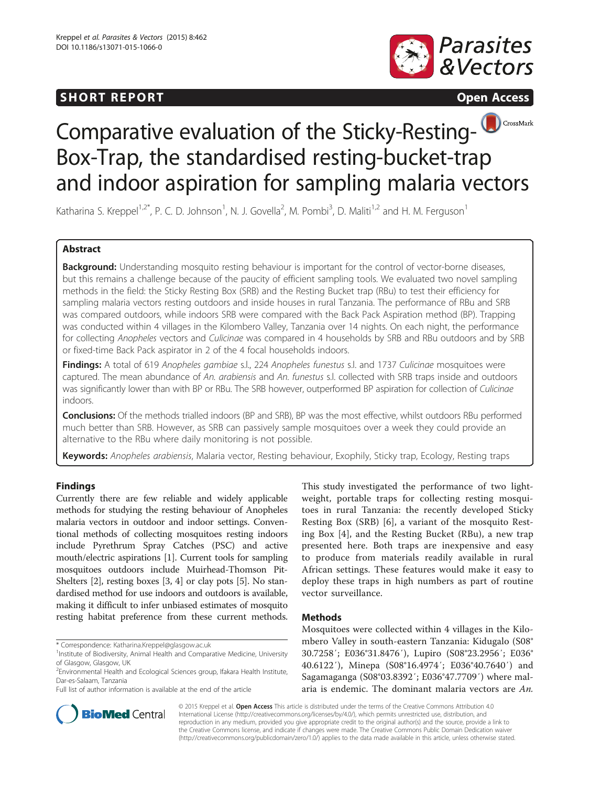## **SHORT REPORT SHORT CONSUMING ACCESS**



# CrossMark Comparative evaluation of the Sticky-Resting-Box-Trap, the standardised resting-bucket-trap and indoor aspiration for sampling malaria vectors

Katharina S. Kreppel<sup>1,2\*</sup>, P. C. D. Johnson<sup>1</sup>, N. J. Govella<sup>2</sup>, M. Pombi<sup>3</sup>, D. Maliti<sup>1,2</sup> and H. M. Ferguson<sup>1</sup>

## Abstract

Background: Understanding mosquito resting behaviour is important for the control of vector-borne diseases, but this remains a challenge because of the paucity of efficient sampling tools. We evaluated two novel sampling methods in the field: the Sticky Resting Box (SRB) and the Resting Bucket trap (RBu) to test their efficiency for sampling malaria vectors resting outdoors and inside houses in rural Tanzania. The performance of RBu and SRB was compared outdoors, while indoors SRB were compared with the Back Pack Aspiration method (BP). Trapping was conducted within 4 villages in the Kilombero Valley, Tanzania over 14 nights. On each night, the performance for collecting Anopheles vectors and Culicinae was compared in 4 households by SRB and RBu outdoors and by SRB or fixed-time Back Pack aspirator in 2 of the 4 focal households indoors.

Findings: A total of 619 Anopheles gambiae s.l., 224 Anopheles funestus s.l. and 1737 Culicinae mosquitoes were captured. The mean abundance of An. arabiensis and An. funestus s.l. collected with SRB traps inside and outdoors was significantly lower than with BP or RBu. The SRB however, outperformed BP aspiration for collection of Culicinae indoors.

**Conclusions:** Of the methods trialled indoors (BP and SRB), BP was the most effective, whilst outdoors RBu performed much better than SRB. However, as SRB can passively sample mosquitoes over a week they could provide an alternative to the RBu where daily monitoring is not possible.

Keywords: Anopheles arabiensis, Malaria vector, Resting behaviour, Exophily, Sticky trap, Ecology, Resting traps

## Findings

Currently there are few reliable and widely applicable methods for studying the resting behaviour of Anopheles malaria vectors in outdoor and indoor settings. Conventional methods of collecting mosquitoes resting indoors include Pyrethrum Spray Catches (PSC) and active mouth/electric aspirations [[1](#page-3-0)]. Current tools for sampling mosquitoes outdoors include Muirhead-Thomson Pit-Shelters [[2](#page-3-0)], resting boxes [[3, 4\]](#page-3-0) or clay pots [[5\]](#page-3-0). No standardised method for use indoors and outdoors is available, making it difficult to infer unbiased estimates of mosquito resting habitat preference from these current methods.

\* Correspondence: [Katharina.Kreppel@glasgow.ac.uk](mailto:Katharina.Kreppel@glasgow.ac.uk) <sup>1</sup>

Full list of author information is available at the end of the article

This study investigated the performance of two lightweight, portable traps for collecting resting mosquitoes in rural Tanzania: the recently developed Sticky Resting Box (SRB) [[6](#page-4-0)], a variant of the mosquito Resting Box [[4\]](#page-3-0), and the Resting Bucket (RBu), a new trap presented here. Both traps are inexpensive and easy to produce from materials readily available in rural African settings. These features would make it easy to deploy these traps in high numbers as part of routine vector surveillance.

## Methods

Mosquitoes were collected within 4 villages in the Kilombero Valley in south-eastern Tanzania: Kidugalo (S08° 30.7258′; E036°31.8476′), Lupiro (S08°23.2956′; E036° 40.6122′), Minepa (S08°16.4974′; E036°40.7640′) and Sagamaganga (S08°03.8392′; E036°47.7709′) where malaria is endemic. The dominant malaria vectors are An.



© 2015 Kreppel et al. Open Access This article is distributed under the terms of the Creative Commons Attribution 4.0 International License [\(http://creativecommons.org/licenses/by/4.0/](http://creativecommons.org/licenses/by/4.0/)), which permits unrestricted use, distribution, and reproduction in any medium, provided you give appropriate credit to the original author(s) and the source, provide a link to the Creative Commons license, and indicate if changes were made. The Creative Commons Public Domain Dedication waiver [\(http://creativecommons.org/publicdomain/zero/1.0/](http://creativecommons.org/publicdomain/zero/1.0/)) applies to the data made available in this article, unless otherwise stated.

<sup>&</sup>lt;sup>1</sup> Institute of Biodiversity, Animal Health and Comparative Medicine, University of Glasgow, Glasgow, UK

<sup>2</sup> Environmental Health and Ecological Sciences group, Ifakara Health Institute, Dar-es-Salaam, Tanzania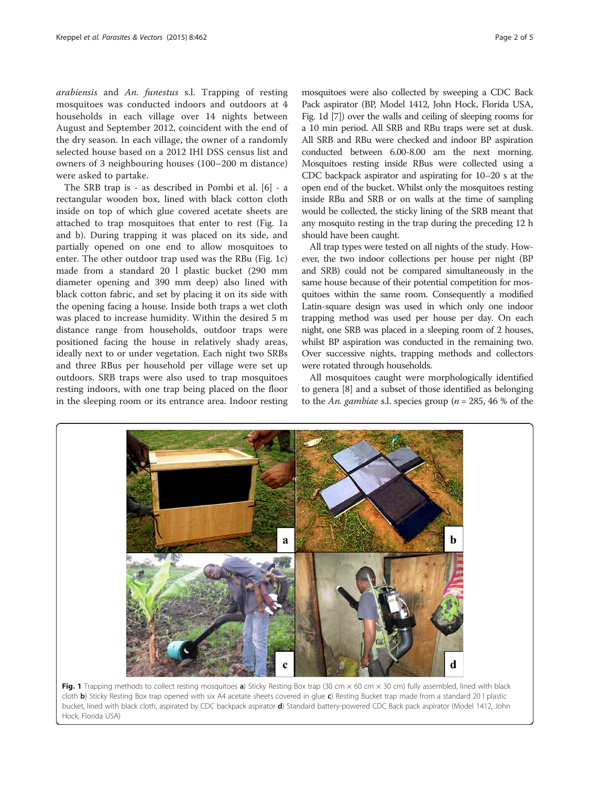arabiensis and An. funestus s.l. Trapping of resting mosquitoes was conducted indoors and outdoors at 4 households in each village over 14 nights between August and September 2012, coincident with the end of the dry season. In each village, the owner of a randomly selected house based on a 2012 IHI DSS census list and owners of 3 neighbouring houses (100–200 m distance) were asked to partake.

The SRB trap is - as described in Pombi et al. [[6\]](#page-4-0) - a rectangular wooden box, lined with black cotton cloth inside on top of which glue covered acetate sheets are attached to trap mosquitoes that enter to rest (Fig. 1a and b). During trapping it was placed on its side, and partially opened on one end to allow mosquitoes to enter. The other outdoor trap used was the RBu (Fig. 1c) made from a standard 20 l plastic bucket (290 mm diameter opening and 390 mm deep) also lined with black cotton fabric, and set by placing it on its side with the opening facing a house. Inside both traps a wet cloth was placed to increase humidity. Within the desired 5 m distance range from households, outdoor traps were positioned facing the house in relatively shady areas, ideally next to or under vegetation. Each night two SRBs and three RBus per household per village were set up outdoors. SRB traps were also used to trap mosquitoes resting indoors, with one trap being placed on the floor in the sleeping room or its entrance area. Indoor resting

mosquitoes were also collected by sweeping a CDC Back Pack aspirator (BP, Model 1412, John Hock, Florida USA, Fig. 1d [\[7\]](#page-4-0)) over the walls and ceiling of sleeping rooms for a 10 min period. All SRB and RBu traps were set at dusk. All SRB and RBu were checked and indoor BP aspiration conducted between 6.00-8.00 am the next morning. Mosquitoes resting inside RBus were collected using a CDC backpack aspirator and aspirating for 10–20 s at the open end of the bucket. Whilst only the mosquitoes resting inside RBu and SRB or on walls at the time of sampling would be collected, the sticky lining of the SRB meant that any mosquito resting in the trap during the preceding 12 h should have been caught.

All trap types were tested on all nights of the study. However, the two indoor collections per house per night (BP and SRB) could not be compared simultaneously in the same house because of their potential competition for mosquitoes within the same room. Consequently a modified Latin-square design was used in which only one indoor trapping method was used per house per day. On each night, one SRB was placed in a sleeping room of 2 houses, whilst BP aspiration was conducted in the remaining two. Over successive nights, trapping methods and collectors were rotated through households.

All mosquitoes caught were morphologically identified to genera [\[8](#page-4-0)] and a subset of those identified as belonging to the An. gambiae s.l. species group ( $n = 285, 46$  % of the



cloth b) Sticky Resting Box trap opened with six A4 acetate sheets covered in glue c) Resting Bucket trap made from a standard 20 l plastic bucket, lined with black cloth, aspirated by CDC backpack aspirator d) Standard battery-powered CDC Back pack aspirator (Model 1412, John Hock, Florida USA)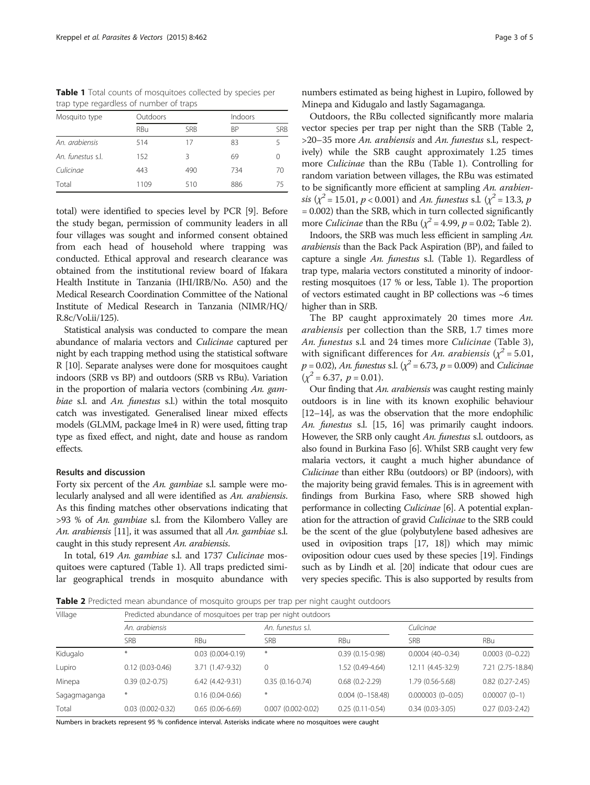Table 1 Total counts of mosquitoes collected by species per trap type regardless of number of traps

| Outdoors |            | Indoors   |            |
|----------|------------|-----------|------------|
| RBu      | <b>SRB</b> | <b>BP</b> | <b>SRB</b> |
| 514      | 17         | 83        |            |
| 152      | 3          | 69        |            |
| 443      | 490        | 734       | 70         |
| 1109     | 510        | 886       | 75         |
|          |            |           |            |

total) were identified to species level by PCR [[9\]](#page-4-0). Before the study began, permission of community leaders in all four villages was sought and informed consent obtained from each head of household where trapping was conducted. Ethical approval and research clearance was obtained from the institutional review board of Ifakara Health Institute in Tanzania (IHI/IRB/No. A50) and the Medical Research Coordination Committee of the National Institute of Medical Research in Tanzania (NIMR/HQ/ R.8c/Vol.ii/125).

Statistical analysis was conducted to compare the mean abundance of malaria vectors and Culicinae captured per night by each trapping method using the statistical software R [[10](#page-4-0)]. Separate analyses were done for mosquitoes caught indoors (SRB vs BP) and outdoors (SRB vs RBu). Variation in the proportion of malaria vectors (combining An. gambiae s.l. and An. funestus s.l.) within the total mosquito catch was investigated. Generalised linear mixed effects models (GLMM, package lme4 in R) were used, fitting trap type as fixed effect, and night, date and house as random effects.

## Results and discussion

Forty six percent of the An. gambiae s.l. sample were molecularly analysed and all were identified as An. arabiensis. As this finding matches other observations indicating that >93 % of An. gambiae s.l. from the Kilombero Valley are An. arabiensis [\[11](#page-4-0)], it was assumed that all An. gambiae s.l. caught in this study represent An. arabiensis.

In total, 619 An. gambiae s.l. and 1737 Culicinae mosquitoes were captured (Table 1). All traps predicted similar geographical trends in mosquito abundance with

numbers estimated as being highest in Lupiro, followed by Minepa and Kidugalo and lastly Sagamaganga.

Outdoors, the RBu collected significantly more malaria vector species per trap per night than the SRB (Table 2, >20–35 more An. arabiensis and An. funestus s.l., respectively) while the SRB caught approximately 1.25 times more Culicinae than the RBu (Table 1). Controlling for random variation between villages, the RBu was estimated to be significantly more efficient at sampling An. arabiensis ( $\chi^2$  = 15.01, p < 0.001) and An. funestus s.l. ( $\chi^2$  = 13.3, p = 0.002) than the SRB, which in turn collected significantly more *Culicinae* than the RBu ( $\chi^2$  = 4.99, p = 0.02; Table 2).

Indoors, the SRB was much less efficient in sampling An. arabiensis than the Back Pack Aspiration (BP), and failed to capture a single An. funestus s.l. (Table 1). Regardless of trap type, malaria vectors constituted a minority of indoorresting mosquitoes (17 % or less, Table 1). The proportion of vectors estimated caught in BP collections was ~6 times higher than in SRB.

The BP caught approximately 20 times more An. arabiensis per collection than the SRB, 1.7 times more An. funestus s.l. and 24 times more Culicinae (Table [3](#page-3-0)), with significant differences for An. arabiensis ( $\chi^2$  = 5.01,  $p = 0.02$ ), An. funestus s.l. ( $\chi^2 = 6.73$ ,  $p = 0.009$ ) and *Culicinae*  $(\chi^2 = 6.37, p = 0.01).$ 

Our finding that An. arabiensis was caught resting mainly outdoors is in line with its known exophilic behaviour [[12](#page-4-0)–[14](#page-4-0)], as was the observation that the more endophilic An. funestus s.l. [\[15, 16\]](#page-4-0) was primarily caught indoors. However, the SRB only caught An. funestus s.l. outdoors, as also found in Burkina Faso [\[6\]](#page-4-0). Whilst SRB caught very few malaria vectors, it caught a much higher abundance of Culicinae than either RBu (outdoors) or BP (indoors), with the majority being gravid females. This is in agreement with findings from Burkina Faso, where SRB showed high performance in collecting *Culicinae* [\[6](#page-4-0)]. A potential explanation for the attraction of gravid Culicinae to the SRB could be the scent of the glue (polybutylene based adhesives are used in oviposition traps [\[17, 18](#page-4-0)]) which may mimic oviposition odour cues used by these species [[19](#page-4-0)]. Findings such as by Lindh et al. [[20](#page-4-0)] indicate that odour cues are very species specific. This is also supported by results from

Table 2 Predicted mean abundance of mosquito groups per trap per night caught outdoors

| Village      | Predicted abundance of mosquitoes per trap per night outdoors |                      |                       |                     |                     |                        |  |
|--------------|---------------------------------------------------------------|----------------------|-----------------------|---------------------|---------------------|------------------------|--|
|              | An. arabiensis                                                |                      | An. funestus s.l.     |                     | Culicinae           |                        |  |
|              | <b>SRB</b>                                                    | RBu                  | <b>SRB</b>            | <b>RBu</b>          | <b>SRB</b>          | RBu                    |  |
| Kidugalo     | $*$                                                           | $0.03(0.004 - 0.19)$ | $\ast$                | $0.39(0.15-0.98)$   | $0.0004(40-0.34)$   | $0.0003(0-0.22)$       |  |
| Lupiro       | $0.12(0.03 - 0.46)$                                           | 3.71 (1.47-9.32)     | $\Omega$              | 1.52 (0.49-4.64)    | 12.11 (4.45-32.9)   | 7.21 (2.75-18.84)      |  |
| Minepa       | $0.39(0.2-0.75)$                                              | $6.42(4.42 - 9.31)$  | $0.35(0.16-0.74)$     | $0.68(0.2 - 2.29)$  | 1.79 (0.56-5.68)    | $0.82$ $(0.27 - 2.45)$ |  |
| Sagagmaganga | $\ast$                                                        | $0.16(0.04 - 0.66)$  | $*$                   | $0.004(0 - 158.48)$ | $0.000003(0-0.05)$  | $0.00007(0-1)$         |  |
| Total        | $0.03$ $(0.002 - 0.32)$                                       | $0.65(0.06-6.69)$    | $0.007(0.002 - 0.02)$ | $0.25(0.11-0.54)$   | $0.34(0.03 - 3.05)$ | $0.27(0.03 - 2.42)$    |  |

Numbers in brackets represent 95 % confidence interval. Asterisks indicate where no mosquitoes were caught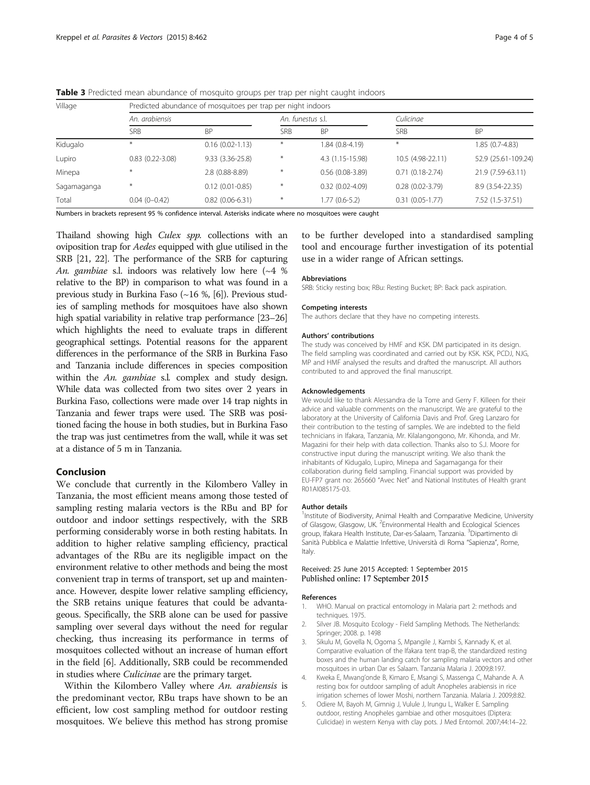| Village     |                        | Predicted abundance of mosquitoes per trap per night indoors |            |                     |                     |                     |  |
|-------------|------------------------|--------------------------------------------------------------|------------|---------------------|---------------------|---------------------|--|
|             | An. arabiensis         |                                                              |            | An. funestus s.l.   | Culicinae           |                     |  |
|             | <b>SRB</b>             | <b>BP</b>                                                    | <b>SRB</b> | <b>BP</b>           | <b>SRB</b>          | <b>BP</b>           |  |
| Kidugalo    | $\ast$                 | $0.16(0.02 - 1.13)$                                          | $*$        | 1.84 (0.8-4.19)     | $\ast$              | 1.85 (0.7-4.83)     |  |
| Lupiro      | $0.83$ $(0.22 - 3.08)$ | $9.33(3.36-25.8)$                                            | $\ast$     | 4.3 (1.15-15.98)    | 10.5 (4.98-22.11)   | 52.9 (25.61-109.24) |  |
| Minepa      | $*$                    | 2.8 (0.88-8.89)                                              | $\ast$     | $0.56(0.08-3.89)$   | $0.71(0.18-2.74)$   | 21.9 (7.59-63.11)   |  |
| Sagamaganga | $*$                    | $0.12(0.01 - 0.85)$                                          | $\ast$     | $0.32(0.02 - 4.09)$ | $0.28(0.02 - 3.79)$ | 8.9 (3.54-22.35)    |  |
| Total       | $0.04(0 - 0.42)$       | $0.82(0.06-6.31)$                                            | $*$        | $1.77(0.6-5.2)$     | $0.31(0.05-1.77)$   | 7.52 (1.5-37.51)    |  |

<span id="page-3-0"></span>Table 3 Predicted mean abundance of mosquito groups per trap per night caught indoors

Numbers in brackets represent 95 % confidence interval. Asterisks indicate where no mosquitoes were caught

Thailand showing high *Culex spp.* collections with an oviposition trap for Aedes equipped with glue utilised in the SRB [\[21, 22](#page-4-0)]. The performance of the SRB for capturing An. gambiae s.l. indoors was relatively low here  $(-4, %$ relative to the BP) in comparison to what was found in a previous study in Burkina Faso (~16 %, [\[6\]](#page-4-0)). Previous studies of sampling methods for mosquitoes have also shown high spatial variability in relative trap performance [[23](#page-4-0)–[26](#page-4-0)] which highlights the need to evaluate traps in different geographical settings. Potential reasons for the apparent differences in the performance of the SRB in Burkina Faso and Tanzania include differences in species composition within the An. gambiae s.l. complex and study design. While data was collected from two sites over 2 years in Burkina Faso, collections were made over 14 trap nights in Tanzania and fewer traps were used. The SRB was positioned facing the house in both studies, but in Burkina Faso the trap was just centimetres from the wall, while it was set at a distance of 5 m in Tanzania.

### Conclusion

We conclude that currently in the Kilombero Valley in Tanzania, the most efficient means among those tested of sampling resting malaria vectors is the RBu and BP for outdoor and indoor settings respectively, with the SRB performing considerably worse in both resting habitats. In addition to higher relative sampling efficiency, practical advantages of the RBu are its negligible impact on the environment relative to other methods and being the most convenient trap in terms of transport, set up and maintenance. However, despite lower relative sampling efficiency, the SRB retains unique features that could be advantageous. Specifically, the SRB alone can be used for passive sampling over several days without the need for regular checking, thus increasing its performance in terms of mosquitoes collected without an increase of human effort in the field [\[6](#page-4-0)]. Additionally, SRB could be recommended in studies where *Culicinae* are the primary target.

Within the Kilombero Valley where An. arabiensis is the predominant vector, RBu traps have shown to be an efficient, low cost sampling method for outdoor resting mosquitoes. We believe this method has strong promise

to be further developed into a standardised sampling tool and encourage further investigation of its potential use in a wider range of African settings.

#### Abbreviations

SRB: Sticky resting box; RBu: Resting Bucket; BP: Back pack aspiration.

#### Competing interests

The authors declare that they have no competing interests.

#### Authors' contributions

The study was conceived by HMF and KSK. DM participated in its design. The field sampling was coordinated and carried out by KSK. KSK, PCDJ, NJG, MP and HMF analysed the results and drafted the manuscript. All authors contributed to and approved the final manuscript.

#### Acknowledgements

We would like to thank Alessandra de la Torre and Gerry F. Killeen for their advice and valuable comments on the manuscript. We are grateful to the laboratory at the University of California Davis and Prof. Greg Lanzaro for their contribution to the testing of samples. We are indebted to the field technicians in Ifakara, Tanzania, Mr. Kilalangongono, Mr. Kihonda, and Mr. Magazini for their help with data collection. Thanks also to S.J. Moore for constructive input during the manuscript writing. We also thank the inhabitants of Kidugalo, Lupiro, Minepa and Sagamaganga for their collaboration during field sampling. Financial support was provided by EU-FP7 grant no: 265660 "Avec Net" and National Institutes of Health grant R01AI085175-03.

#### Author details

<sup>1</sup>Institute of Biodiversity, Animal Health and Comparative Medicine, University of Glasgow, Glasgow, UK. <sup>2</sup>Environmental Health and Ecological Sciences group, Ifakara Health Institute, Dar-es-Salaam, Tanzania. <sup>3</sup>Dipartimento di Sanità Pubblica e Malattie Infettive, Università di Roma "Sapienza", Rome, Italy.

#### Received: 25 June 2015 Accepted: 1 September 2015 Published online: 17 September 2015

#### References

- 1. WHO. Manual on practical entomology in Malaria part 2: methods and techniques. 1975.
- 2. Silver JB. Mosquito Ecology Field Sampling Methods. The Netherlands: Springer; 2008. p. 1498
- 3. Sikulu M, Govella N, Ogoma S, Mpangile J, Kambi S, Kannady K, et al. Comparative evaluation of the Ifakara tent trap-B, the standardized resting boxes and the human landing catch for sampling malaria vectors and other mosquitoes in urban Dar es Salaam. Tanzania Malaria J. 2009;8:197.
- 4. Kweka E, Mwang'onde B, Kimaro E, Msangi S, Massenga C, Mahande A. A resting box for outdoor sampling of adult Anopheles arabiensis in rice irrigation schemes of lower Moshi, northern Tanzania. Malaria J. 2009;8:82.
- 5. Odiere M, Bayoh M, Gimnig J, Vulule J, Irungu L, Walker E. Sampling outdoor, resting Anopheles gambiae and other mosquitoes (Diptera: Culicidae) in western Kenya with clay pots. J Med Entomol. 2007;44:14–22.